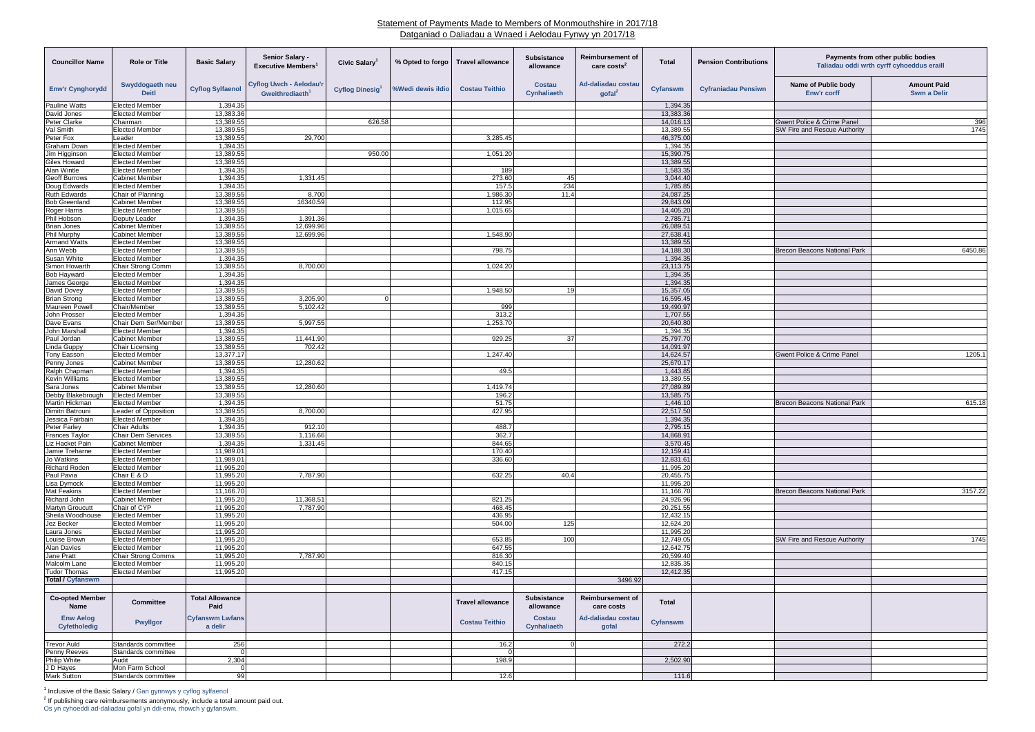## Statement of Payments Made to Members of Monmouthshire in 2017/18 Datganiad o Daliadau a Wnaed i Aelodau Fynwy yn 2017/18

| <b>Councillor Name</b>                   | <b>Role or Title</b>                               | <b>Basic Salary</b>            | Senior Salary -<br><b>Executive Members</b>                   | <b>Civic Salary</b>   | % Opted to forgo  | <b>Travel allowance</b> | <b>Subsistance</b><br>allowance     | <b>Reimbursement of</b><br>care costs <sup>2</sup> | <b>Total</b>           | <b>Pension Contributions</b> | Payments from other public bodies<br>Taliadau oddi wrth cyrff cyhoeddus eraill |                                          |
|------------------------------------------|----------------------------------------------------|--------------------------------|---------------------------------------------------------------|-----------------------|-------------------|-------------------------|-------------------------------------|----------------------------------------------------|------------------------|------------------------------|--------------------------------------------------------------------------------|------------------------------------------|
| <b>Enw'r Cynghorydd</b>                  | Swyddogaeth neu<br><b>Deitl</b>                    | <b>Cyflog Sylfaenol</b>        | <b>Cyflog Uwch - Aelodau'r</b><br>Gweithrediaeth <sup>1</sup> | <b>Cyflog Dinesig</b> | %Wedi dewis ildio | <b>Costau Teithio</b>   | <b>Costau</b><br><b>Cynhaliaeth</b> | Ad-daliadau costau<br>qofal <sup>2</sup>           | <b>Cyfanswm</b>        | <b>Cyfraniadau Pensiwn</b>   | Name of Public body<br>Enw'r corff                                             | <b>Amount Paid</b><br><b>Swm a Delir</b> |
| <b>Pauline Watts</b>                     | <b>Elected Member</b>                              | 1,394.35                       |                                                               |                       |                   |                         |                                     |                                                    | 1,394.35               |                              |                                                                                |                                          |
| David Jones                              | <b>Elected Member</b>                              | 13,383.36                      |                                                               |                       |                   |                         |                                     |                                                    | 13,383.36              |                              |                                                                                |                                          |
| Peter Clarke<br>Val Smith                | Chairman<br><b>Elected Member</b>                  | 13,389.55<br>13,389.55         |                                                               | 626.58                |                   |                         |                                     |                                                    | 14,016.13<br>13,389.55 |                              | Gwent Police & Crime Panel<br>SW Fire and Rescue Authority                     | 396<br>1745                              |
| Peter Fox                                | Leader                                             | 13,389.55                      | 29,700                                                        |                       |                   | 3,285.45                |                                     |                                                    | 46,375.00              |                              |                                                                                |                                          |
| Graham Down                              | <b>Elected Member</b>                              | 1,394.35                       |                                                               |                       |                   |                         |                                     |                                                    | 1,394.35               |                              |                                                                                |                                          |
| Jim Higginson                            | <b>Elected Member</b>                              | 13,389.55                      |                                                               | 950.00                |                   | 1,051.20                |                                     |                                                    | 15,390.75              |                              |                                                                                |                                          |
| <b>Giles Howard</b>                      | <b>Elected Member</b>                              | 13,389.55                      |                                                               |                       |                   |                         |                                     |                                                    | 13,389.55              |                              |                                                                                |                                          |
| Alan Wintle<br><b>Geoff Burrows</b>      | <b>Elected Member</b><br><b>Cabinet Member</b>     | 1,394.35<br>1,394.35           | 1,331.45                                                      |                       |                   | 189<br>273.60           | 45                                  |                                                    | 1,583.35<br>3,044.40   |                              |                                                                                |                                          |
| Doug Edwards                             | <b>Elected Member</b>                              | 1,394.35                       |                                                               |                       |                   | 157.5                   | 234                                 |                                                    | 1,785.85               |                              |                                                                                |                                          |
| <b>Ruth Edwards</b>                      | Chair of Planning                                  | 13,389.55                      | 8,700                                                         |                       |                   | 1,986.30                | 11.4                                |                                                    | 24,087.25              |                              |                                                                                |                                          |
| <b>Bob Greenland</b>                     | <b>Cabinet Member</b>                              | 13,389.55                      | 16340.59                                                      |                       |                   | 112.95                  |                                     |                                                    | 29,843.09              |                              |                                                                                |                                          |
| Roger Harris                             | <b>Elected Member</b>                              | 13,389.55                      |                                                               |                       |                   | 1,015.65                |                                     |                                                    | 14,405.20              |                              |                                                                                |                                          |
| Phil Hobson                              | Deputy Leader<br><b>Cabinet Member</b>             | 1,394.35                       | 1,391.36                                                      |                       |                   |                         |                                     |                                                    | 2,785.71               |                              |                                                                                |                                          |
| <b>Brian Jones</b><br><b>Phil Murphy</b> | <b>Cabinet Member</b>                              | 13,389.55<br>13,389.55         | 12,699.96<br>12,699.96                                        |                       |                   | 1,548.90                |                                     |                                                    | 26,089.51<br>27,638.41 |                              |                                                                                |                                          |
| <b>Armand Watts</b>                      | <b>Elected Member</b>                              | 13,389.55                      |                                                               |                       |                   |                         |                                     |                                                    | 13,389.55              |                              |                                                                                |                                          |
| Ann Webb                                 | <b>Elected Member</b>                              | 13,389.55                      |                                                               |                       |                   | 798.75                  |                                     |                                                    | 14,188.30              |                              | <b>Brecon Beacons National Park</b>                                            | 6450.86                                  |
| Susan White                              | <b>Elected Member</b>                              | 1,394.35                       |                                                               |                       |                   |                         |                                     |                                                    | 1,394.35               |                              |                                                                                |                                          |
| Simon Howarth                            | <b>Chair Strong Comm</b>                           | 13,389.55                      | 8,700.00                                                      |                       |                   | 1,024.20                |                                     |                                                    | 23,113.75              |                              |                                                                                |                                          |
| <b>Bob Hayward</b>                       | <b>Elected Member</b>                              | 1,394.35<br>1,394.35           |                                                               |                       |                   |                         |                                     |                                                    | 1,394.35<br>1,394.35   |                              |                                                                                |                                          |
| James George<br>David Dovey              | <b>Elected Member</b><br><b>Elected Member</b>     | 13,389.55                      |                                                               |                       |                   | 1,948.50                | 19                                  |                                                    | 15,357.05              |                              |                                                                                |                                          |
| <b>Brian Strong</b>                      | <b>Elected Member</b>                              | 13,389.55                      | 3,205.90                                                      | $\Omega$              |                   |                         |                                     |                                                    | 16,595.45              |                              |                                                                                |                                          |
| <b>Maureen Powell</b>                    | Chair/Member                                       | 13,389.55                      | 5,102.42                                                      |                       |                   | 999                     |                                     |                                                    | 19,490.97              |                              |                                                                                |                                          |
| John Prosser                             | <b>Elected Member</b>                              | 1,394.35                       |                                                               |                       |                   | 313.2                   |                                     |                                                    | 1,707.55               |                              |                                                                                |                                          |
| Dave Evans                               | Chair Dem Ser/Member                               | 13,389.55                      | 5,997.55                                                      |                       |                   | 1,253.70                |                                     |                                                    | 20,640.80              |                              |                                                                                |                                          |
| John Marshall<br>Paul Jordan             | <b>Elected Member</b><br><b>Cabinet Member</b>     | 1,394.35<br>13,389.55          | 11,441.90                                                     |                       |                   | 929.25                  | 37 <sup>l</sup>                     |                                                    | 1,394.35<br>25,797.70  |                              |                                                                                |                                          |
| Linda Guppy                              | Chair Licensing                                    | 13,389.55                      | 702.42                                                        |                       |                   |                         |                                     |                                                    | 14,091.97              |                              |                                                                                |                                          |
| Tony Easson                              | <b>Elected Member</b>                              | 13,377.17                      |                                                               |                       |                   | 1,247.40                |                                     |                                                    | 14,624.57              |                              | <b>Gwent Police &amp; Crime Panel</b>                                          | 1205.1                                   |
| Penny Jones                              | <b>Cabinet Member</b>                              | 13,389.55                      | 12,280.62                                                     |                       |                   |                         |                                     |                                                    | 25,670.17              |                              |                                                                                |                                          |
| Ralph Chapman                            | <b>Elected Member</b>                              | 1,394.35                       |                                                               |                       |                   | 49.5                    |                                     |                                                    | 1,443.85               |                              |                                                                                |                                          |
| <b>Kevin Williams</b>                    | <b>Elected Member</b>                              | 13,389.55                      |                                                               |                       |                   |                         |                                     |                                                    | 13,389.55              |                              |                                                                                |                                          |
| Sara Jones<br>Debby Blakebrough          | <b>Cabinet Member</b><br><b>Elected Member</b>     | 13,389.55<br>13,389.55         | 12,280.60                                                     |                       |                   | 1,419.74<br>196.2       |                                     |                                                    | 27,089.89<br>13,585.75 |                              |                                                                                |                                          |
| Martin Hickman                           | <b>Elected Member</b>                              | 1,394.35                       |                                                               |                       |                   | 51.75                   |                                     |                                                    | 1,446.10               |                              | <b>Brecon Beacons National Park</b>                                            | 615.18                                   |
| Dimitri Batrouni                         | Leader of Opposition                               | 13,389.55                      | 8,700.00                                                      |                       |                   | 427.95                  |                                     |                                                    | 22,517.50              |                              |                                                                                |                                          |
| Jessica Fairbain                         | <b>Elected Member</b>                              | 1,394.35                       |                                                               |                       |                   |                         |                                     |                                                    | 1,394.35               |                              |                                                                                |                                          |
| <b>Peter Farley</b>                      | <b>Chair Adults</b>                                | 1,394.35                       | 912.10                                                        |                       |                   | 488.7                   |                                     |                                                    | 2,795.15               |                              |                                                                                |                                          |
| <b>Frances Taylor</b><br>Liz Hacket Pain | Chair Dem Services                                 | 13,389.55                      | 1,116.66                                                      |                       |                   | 362.7<br>844.65         |                                     |                                                    | 14,868.91              |                              |                                                                                |                                          |
| Jamie Treharne                           | <b>Cabinet Member</b><br><b>Elected Member</b>     | 1,394.35<br>11,989.01          | 1,331.45                                                      |                       |                   | 170.40                  |                                     |                                                    | 3,570.45<br>12,159.41  |                              |                                                                                |                                          |
| Jo Watkins                               | <b>Elected Member</b>                              | 11,989.01                      |                                                               |                       |                   | 336.60                  |                                     |                                                    | 12,831.61              |                              |                                                                                |                                          |
| <b>Richard Roden</b>                     | <b>Elected Member</b>                              | 11,995.20                      |                                                               |                       |                   |                         |                                     |                                                    | 11,995.20              |                              |                                                                                |                                          |
| Paul Pavia                               | Chair E & D                                        | 11,995.20                      | 7,787.90                                                      |                       |                   | 632.25                  | 40.4                                |                                                    | 20,455.75              |                              |                                                                                |                                          |
| Lisa Dymock                              | <b>Elected Member</b>                              | 11,995.20                      |                                                               |                       |                   |                         |                                     |                                                    | 11,995.20              |                              |                                                                                |                                          |
| Mat Feakins<br>Richard John              | <b>Elected Member</b><br><b>Cabinet Member</b>     | 11,166.70<br>11,995.20         | 11,368.51                                                     |                       |                   | 821.25                  |                                     |                                                    | 11,166.70<br>24,926.96 |                              | <b>Brecon Beacons National Park</b>                                            | 3157.22                                  |
| <b>Martyn Groucutt</b>                   | Chair of CYP                                       | 11,995.20                      | 7,787.90                                                      |                       |                   | 468.45                  |                                     |                                                    | 20,251.55              |                              |                                                                                |                                          |
| Sheila Woodhouse                         | <b>Elected Member</b>                              | 11,995.20                      |                                                               |                       |                   | 436.95                  |                                     |                                                    | 12,432.15              |                              |                                                                                |                                          |
| Jez Becker                               | <b>Elected Member</b>                              | 11,995.20                      |                                                               |                       |                   | 504.00                  | 125                                 |                                                    | 12,624.20              |                              |                                                                                |                                          |
| Laura Jones                              | <b>Elected Member</b>                              | 11,995.20                      |                                                               |                       |                   |                         |                                     |                                                    | 11,995.20              |                              |                                                                                |                                          |
| Louise Brown                             | <b>Elected Member</b>                              | 11,995.20                      |                                                               |                       |                   | 653.85                  | 100                                 |                                                    | 12,749.05              |                              | SW Fire and Rescue Authority                                                   | 1745                                     |
| <b>Alan Davies</b><br>Jane Pratt         | <b>Elected Member</b><br><b>Chair Strong Comms</b> | 11,995.20<br>11,995.20         | 7,787.90                                                      |                       |                   | 647.55<br>816.30        |                                     |                                                    | 12,642.75<br>20,599.40 |                              |                                                                                |                                          |
| Malcolm Lane                             | <b>Elected Member</b>                              | 11,995.20                      |                                                               |                       |                   | 840.15                  |                                     |                                                    | 12,835.35              |                              |                                                                                |                                          |
| <b>Tudor Thomas</b>                      | <b>Elected Member</b>                              | 11,995.20                      |                                                               |                       |                   | 417.15                  |                                     |                                                    | 12,412.35              |                              |                                                                                |                                          |
| <b>Total / Cyfanswm</b>                  |                                                    |                                |                                                               |                       |                   |                         |                                     | 3496.92                                            |                        |                              |                                                                                |                                          |
| <b>Co-opted Member</b>                   | Committee                                          | <b>Total Allowance</b>         |                                                               |                       |                   | <b>Travel allowance</b> | <b>Subsistance</b>                  | <b>Reimbursement of</b>                            | <b>Total</b>           |                              |                                                                                |                                          |
| <b>Name</b><br><b>Enw Aelog</b>          | <b>Pwyllgor</b>                                    | Paid<br><b>Cyfanswm Lwfans</b> |                                                               |                       |                   | <b>Costau Teithio</b>   | allowance<br><b>Costau</b>          | care costs<br>Ad-daliadau costau                   | <b>Cyfanswm</b>        |                              |                                                                                |                                          |
| <b>Cyfetholedig</b>                      |                                                    | a delir                        |                                                               |                       |                   |                         | <b>Cynhaliaeth</b>                  | gofal                                              |                        |                              |                                                                                |                                          |
| <b>Trevor Auld</b>                       | Standards committee                                | 256                            |                                                               |                       |                   | 16.2                    | $\overline{0}$                      |                                                    | 272.2                  |                              |                                                                                |                                          |
| Penny Reeves                             | Standards committee                                |                                |                                                               |                       |                   |                         |                                     |                                                    |                        |                              |                                                                                |                                          |
| <b>Philip White</b>                      | Audit                                              | 2,304                          |                                                               |                       |                   | 198.9                   |                                     |                                                    | 2,502.90               |                              |                                                                                |                                          |
| J D Hayes                                | Mon Farm School                                    |                                |                                                               |                       |                   |                         |                                     |                                                    |                        |                              |                                                                                |                                          |
| <b>Mark Sutton</b>                       | Standards committee                                | 99                             |                                                               |                       |                   | 12.6                    |                                     |                                                    | 111.6                  |                              |                                                                                |                                          |

<sup>1</sup> Inclusive of the Basic Salary / Gan gynnwys y cyflog sylfaenol

 $2$  If publishing care reimbursements anonymously, include a total amount paid out.

| Payments from other public bodies<br>Taliadau oddi wrth cyrff cyhoeddus eraill |                                   |  |  |  |  |  |  |  |
|--------------------------------------------------------------------------------|-----------------------------------|--|--|--|--|--|--|--|
| Name of Public body<br>Enw'r corff                                             | <b>Amount Paid</b><br>Swm a Delir |  |  |  |  |  |  |  |
| vent Police & Crime Panel<br>V Fire and Rescue Authority                       | 396<br>1745                       |  |  |  |  |  |  |  |
|                                                                                |                                   |  |  |  |  |  |  |  |
| econ Beacons National Park                                                     | 6450.86                           |  |  |  |  |  |  |  |
|                                                                                |                                   |  |  |  |  |  |  |  |
| vent Police & Crime Panel                                                      | 1205.1                            |  |  |  |  |  |  |  |
| econ Beacons National Park                                                     | 615.18                            |  |  |  |  |  |  |  |
|                                                                                |                                   |  |  |  |  |  |  |  |
| econ Beacons National Park                                                     | 3157.22                           |  |  |  |  |  |  |  |
| V Fire and Rescue Authority                                                    | 1745                              |  |  |  |  |  |  |  |
|                                                                                |                                   |  |  |  |  |  |  |  |
|                                                                                |                                   |  |  |  |  |  |  |  |

Os yn cyhoeddi ad-daliadau gofal yn ddi-enw, rhowch y gyfanswm.